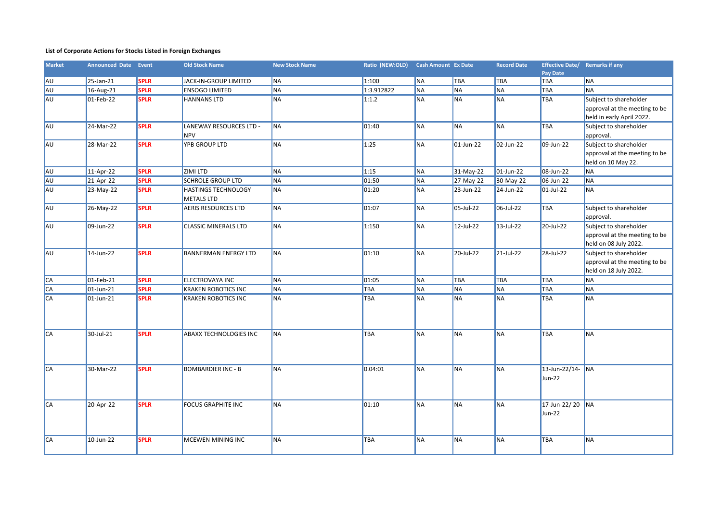## **List of Corporate Actions for Stocks Listed in Foreign Exchanges**

| <b>Market</b> | <b>Announced Date Event</b> |             | <b>Old Stock Name</b>         | <b>New Stock Name</b> | Ratio (NEW:OLD) Cash Amount Ex Date |           |              | <b>Record Date</b> | Effective Date/ Remarks if any |                               |
|---------------|-----------------------------|-------------|-------------------------------|-----------------------|-------------------------------------|-----------|--------------|--------------------|--------------------------------|-------------------------------|
|               |                             |             |                               |                       |                                     |           |              |                    | Pay Date                       |                               |
| ∥AU           | 25-Jan-21                   | <b>SPLR</b> | JACK-IN-GROUP LIMITED         | <b>NA</b>             | 1:100                               | <b>NA</b> | <b>TBA</b>   | <b>TBA</b>         | TBA                            | <b>NA</b>                     |
| AU            | $16$ -Aug-21                | <b>SPLR</b> | <b>ENSOGO LIMITED</b>         | <b>NA</b>             | 1:3.912822                          | <b>NA</b> | <b>NA</b>    | <b>NA</b>          | TBA                            | <b>NA</b>                     |
| AU            | $01$ -Feb-22                | <b>SPLR</b> | <b>HANNANS LTD</b>            | <b>NA</b>             | 1:1.2                               | <b>NA</b> | <b>NA</b>    | <b>NA</b>          | TBA                            | Subject to shareholder        |
|               |                             |             |                               |                       |                                     |           |              |                    |                                | approval at the meeting to be |
|               |                             |             |                               |                       |                                     |           |              |                    |                                | held in early April 2022.     |
| <b>AU</b>     | 24-Mar-22                   | <b>SPLR</b> | LANEWAY RESOURCES LTD -       | <b>NA</b>             | 01:40                               | <b>NA</b> | <b>NA</b>    | <b>NA</b>          | <b>TBA</b>                     | Subject to shareholder        |
|               |                             |             | NPV                           |                       |                                     |           |              |                    |                                | approval.                     |
| AU            | 28-Mar-22                   | <b>SPLR</b> | YPB GROUP LTD                 | <b>NA</b>             | 1:25                                | <b>NA</b> | $01$ -Jun-22 | 02-Jun-22          | 09-Jun-22                      | Subject to shareholder        |
|               |                             |             |                               |                       |                                     |           |              |                    |                                | approval at the meeting to be |
|               |                             |             |                               |                       |                                     |           |              |                    |                                | held on 10 May 22.            |
| AU            | 11-Apr-22                   | <b>SPLR</b> | <b>ZIMI LTD</b>               | <b>NA</b>             | 1:15                                | <b>NA</b> | 31-May-22    | $01$ -Jun-22       | 08-Jun-22                      | <b>NA</b>                     |
| AU            | 21-Apr-22                   | <b>SPLR</b> | <b>SCHROLE GROUP LTD</b>      | <b>NA</b>             | 01:50                               | <b>NA</b> | 27-May-22    | 30-May-22          | $\overline{06}$ -Jun-22        | <b>NA</b>                     |
| AU            | 23-May-22                   | <b>SPLR</b> | <b>HASTINGS TECHNOLOGY</b>    | <b>NA</b>             | 01:20                               | <b>NA</b> | 23-Jun-22    | 24-Jun-22          | $01$ -Jul-22                   | <b>NA</b>                     |
|               |                             |             | <b>METALS LTD</b>             |                       |                                     |           |              |                    |                                |                               |
| AU            | 26-May-22                   | <b>SPLR</b> | <b>AERIS RESOURCES LTD</b>    | <b>NA</b>             | 01:07                               | <b>NA</b> | 05-Jul-22    | 06-Jul-22          | <b>TBA</b>                     | Subject to shareholder        |
|               |                             |             |                               |                       |                                     |           |              |                    |                                | approval.                     |
| IA∪           | 09-Jun-22                   | <b>SPLR</b> | <b>CLASSIC MINERALS LTD</b>   | <b>NA</b>             | 1:150                               | <b>NA</b> | 12-Jul-22    | 13-Jul-22          | 20-Jul-22                      | Subject to shareholder        |
|               |                             |             |                               |                       |                                     |           |              |                    |                                | approval at the meeting to be |
|               |                             |             |                               |                       |                                     |           |              |                    |                                | held on 08 July 2022.         |
| <b>AU</b>     | 14-Jun-22                   | <b>SPLR</b> | <b>BANNERMAN ENERGY LTD</b>   | <b>NA</b>             | 01:10                               | <b>NA</b> | 20-Jul-22    | 21-Jul-22          | 28-Jul-22                      | Subject to shareholder        |
|               |                             |             |                               |                       |                                     |           |              |                    |                                | approval at the meeting to be |
|               |                             |             |                               |                       |                                     |           |              |                    |                                | held on 18 July 2022.         |
| CA            | $01$ -Feb-21                | <b>SPLR</b> | <b>ELECTROVAYA INC</b>        | <b>NA</b>             | 01:05                               | <b>NA</b> | <b>TBA</b>   | <b>TBA</b>         | <b>TBA</b>                     | <b>NA</b>                     |
| <b>CA</b>     | $\overline{01}$ -Jun-21     | <b>SPLR</b> | <b>KRAKEN ROBOTICS INC</b>    | <b>NA</b>             | <b>TBA</b>                          | <b>NA</b> | <b>NA</b>    | <b>NA</b>          | TBA                            | <b>NA</b>                     |
| <b>CA</b>     | 01-Jun-21                   | <b>SPLR</b> | KRAKEN ROBOTICS INC           | <b>NA</b>             | TBA                                 | <b>NA</b> | <b>NA</b>    | <b>NA</b>          | TBA                            | <b>NA</b>                     |
|               |                             |             |                               |                       |                                     |           |              |                    |                                |                               |
|               |                             |             |                               |                       |                                     |           |              |                    |                                |                               |
|               |                             |             |                               |                       |                                     |           |              |                    |                                |                               |
| CA            | 30-Jul-21                   | <b>SPLR</b> | <b>ABAXX TECHNOLOGIES INC</b> | <b>NA</b>             | <b>TBA</b>                          | <b>NA</b> | <b>NA</b>    | <b>NA</b>          | <b>TBA</b>                     | <b>NA</b>                     |
|               |                             |             |                               |                       |                                     |           |              |                    |                                |                               |
|               |                             |             |                               |                       |                                     |           |              |                    |                                |                               |
|               |                             |             |                               |                       |                                     |           |              |                    |                                |                               |
| CA            | 30-Mar-22                   | <b>SPLR</b> | <b>BOMBARDIER INC - B</b>     | <b>NA</b>             | 0.04:01                             | <b>NA</b> | <b>NA</b>    | <b>NA</b>          | 13-Jun-22/14- NA               |                               |
|               |                             |             |                               |                       |                                     |           |              |                    | Jun-22                         |                               |
|               |                             |             |                               |                       |                                     |           |              |                    |                                |                               |
| $AC$          |                             | <b>SPLR</b> |                               | <b>NA</b>             | 01:10                               | <b>NA</b> | <b>NA</b>    |                    |                                |                               |
|               | 20-Apr-22                   |             | <b>FOCUS GRAPHITE INC</b>     |                       |                                     |           |              | <b>NA</b>          | 17-Jun-22/20- NA               |                               |
|               |                             |             |                               |                       |                                     |           |              |                    | Jun-22                         |                               |
|               |                             |             |                               |                       |                                     |           |              |                    |                                |                               |
| $AC$          | 10-Jun-22                   | <b>SPLR</b> | MCEWEN MINING INC             | <b>NA</b>             | <b>TBA</b>                          | <b>NA</b> | <b>NA</b>    | <b>NA</b>          | TBA                            | <b>NA</b>                     |
|               |                             |             |                               |                       |                                     |           |              |                    |                                |                               |
|               |                             |             |                               |                       |                                     |           |              |                    |                                |                               |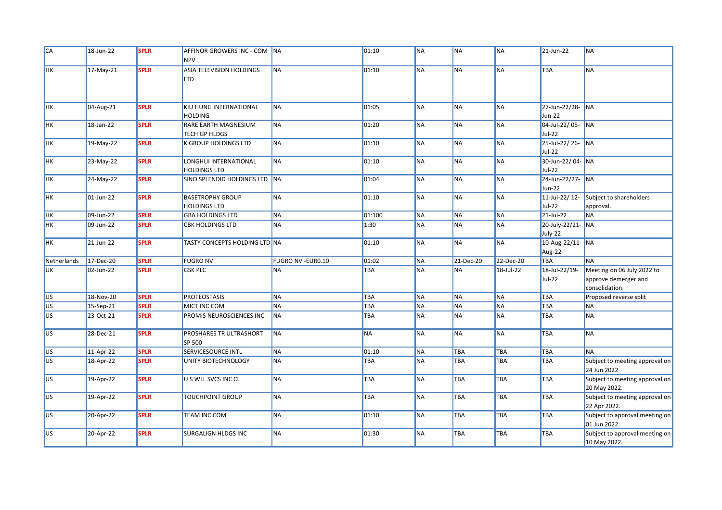| CA             | 18-Jun-22               | <b>SPLR</b> | AFFINOR GROWERS INC - COM NA<br><b>NPV</b>     |                           | 01:10      | <b>NA</b> | <b>NA</b> | <b>NA</b> | 21-Jun-22                    | <b>NA</b>                                                            |
|----------------|-------------------------|-------------|------------------------------------------------|---------------------------|------------|-----------|-----------|-----------|------------------------------|----------------------------------------------------------------------|
| HK             | 17-May-21               | <b>SPLR</b> | ASIA TELEVISION HOLDINGS<br>LTD                | <b>NA</b>                 | 01:10      | <b>NA</b> | <b>NA</b> | <b>NA</b> | <b>TBA</b>                   | <b>NA</b>                                                            |
| HK             | 04-Aug-21               | <b>SPLR</b> | KIU HUNG INTERNATIONAL<br><b>HOLDING</b>       | <b>NA</b>                 | 01:05      | <b>NA</b> | <b>NA</b> | <b>NA</b> | 27-Jun-22/28- NA<br>Jun-22   |                                                                      |
| <b>HK</b>      | 18-Jan-22               | <b>SPLR</b> | RARE EARTH MAGNESIUM<br>TECH GP HLDGS          | <b>NA</b>                 | 01:20      | <b>NA</b> | <b>NA</b> | <b>NA</b> | 04-Jul-22/05- NA<br>Jul-22   |                                                                      |
| HK             | 19-May-22               | <b>SPLR</b> | K GROUP HOLDINGS LTD                           | <b>NA</b>                 | 01:10      | <b>NA</b> | <b>NA</b> | <b>NA</b> | 25-Jul-22/26- NA<br>Jul-22   |                                                                      |
| <b>HK</b>      | 23-May-22               | <b>SPLR</b> | LONGHUI INTERNATIONAL<br><b>HOLDINGS LTD</b>   | <b>NA</b>                 | 01:10      | <b>NA</b> | <b>NA</b> | <b>NA</b> | 30-Jun-22/04- NA<br>Jul-22   |                                                                      |
| <b>HK</b>      | 24-May-22               | <b>SPLR</b> | SINO SPLENDID HOLDINGS LTD NA                  |                           | 01:04      | <b>NA</b> | <b>NA</b> | <b>NA</b> | 24-Jun-22/27- NA<br>Jun-22   |                                                                      |
| HK             | 01-Jun-22               | <b>SPLR</b> | <b>BASETROPHY GROUP</b><br><b>HOLDINGS LTD</b> | <b>NA</b>                 | 01:10      | <b>NA</b> | <b>NA</b> | <b>NA</b> | 11-Jul-22/12-<br>Jul-22      | Subject to shareholders<br>approval.                                 |
| <b>HK</b>      | 09-Jun-22               | <b>SPLR</b> | <b>GBA HOLDINGS LTD</b>                        | <b>NA</b>                 | 01:100     | <b>NA</b> | <b>NA</b> | <b>NA</b> | 21-Jul-22                    | <b>NA</b>                                                            |
| <b>HK</b>      | 09-Jun-22               | <b>SPLR</b> | <b>CBK HOLDINGS LTD</b>                        | <b>NA</b>                 | 1:30       | <b>NA</b> | <b>NA</b> | <b>NA</b> | 20-July-22/21- NA<br>July-22 |                                                                      |
| <b>HK</b>      | 21-Jun-22               | <b>SPLR</b> | TASTY CONCEPTS HOLDING LTD NA                  |                           | 01:10      | <b>NA</b> | <b>NA</b> | <b>NA</b> | 10-Aug-22/11- NA<br>Aug-22   |                                                                      |
| Netherlands    | 17-Dec-20               | <b>SPLR</b> | <b>FUGRO NV</b>                                | <b>FUGRO NV - EURO.10</b> | 01:02      | <b>NA</b> | 21-Dec-20 | 22-Dec-20 | <b>TBA</b>                   | <b>NA</b>                                                            |
| UK             | $\overline{02}$ -Jun-22 | <b>SPLR</b> | <b>GSK PLC</b>                                 | <b>NA</b>                 | TBA        | <b>NA</b> | <b>NA</b> | 18-Jul-22 | 18-Jul-22/19-<br>Jul-22      | Meeting on 06 July 2022 to<br>approve demerger and<br>consolidation. |
| <b>US</b>      | 18-Nov-20               | <b>SPLR</b> | <b>PROTEOSTASIS</b>                            | <b>NA</b>                 | <b>TBA</b> | <b>NA</b> | <b>NA</b> | <b>NA</b> | TBA                          | Proposed reverse split                                               |
| US <sup></sup> | 15-Sep-21               | <b>SPLR</b> | MICT INC COM                                   | <b>NA</b>                 | TBA        | <b>NA</b> | <b>NA</b> | <b>NA</b> | <b>TBA</b>                   | <b>NA</b>                                                            |
| US <sup></sup> | 23-Oct-21               | <b>SPLR</b> | PROMIS NEUROSCIENCES INC                       | <b>NA</b>                 | TBA        | <b>NA</b> | <b>NA</b> | <b>NA</b> | <b>TBA</b>                   | <b>NA</b>                                                            |
| <b>US</b>      | 28-Dec-21               | <b>SPLR</b> | PROSHARES TR ULTRASHORT<br>SP 500              | <b>NA</b>                 | <b>NA</b>  | <b>NA</b> | <b>NA</b> | <b>NA</b> | TBA                          | <b>NA</b>                                                            |
| <b>US</b>      | 11-Apr-22               | <b>SPLR</b> | SERVICESOURCE INTL                             | <b>NA</b>                 | 01:10      | <b>NA</b> | TBA       | TBA       | <b>TBA</b>                   | <b>NA</b>                                                            |
| US <sup></sup> | 18-Apr-22               | <b>SPLR</b> | UNITY BIOTECHNOLOGY                            | <b>NA</b>                 | TBA        | <b>NA</b> | TBA       | TBA       | <b>TBA</b>                   | Subject to meeting approval on<br>24 Jun 2022                        |
| <b>US</b>      | 19-Apr-22               | <b>SPLR</b> | U S WLL SVCS INC CL                            | <b>NA</b>                 | TBA        | <b>NA</b> | TBA       | TBA       | TBA                          | Subject to meeting approval on<br>20 May 2022.                       |
| <b>US</b>      | 19-Apr-22               | <b>SPLR</b> | <b>TOUCHPOINT GROUP</b>                        | <b>NA</b>                 | TBA        | <b>NA</b> | TBA       | TBA       | TBA                          | Subject to meeting approval on<br>22 Apr 2022.                       |
| lus            | 20-Apr-22               | <b>SPLR</b> | <b>TEAM INC COM</b>                            | <b>NA</b>                 | 01:10      | <b>NA</b> | TBA       | TBA       | TBA                          | Subject to approval meeting on<br>01 Jun 2022.                       |
| <b>US</b>      | 20-Apr-22               | <b>SPLR</b> | SURGALIGN HLDGS INC                            | <b>NA</b>                 | 01:30      | <b>NA</b> | TBA       | TBA       | TBA                          | Subject to approval meeting on<br>10 May 2022.                       |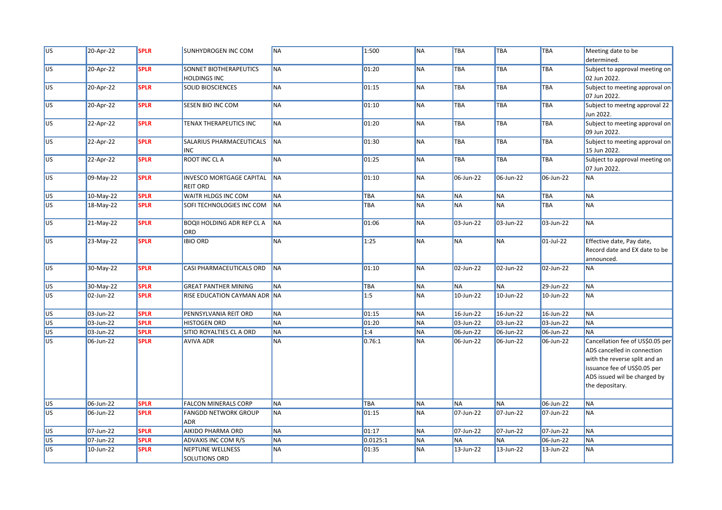| U <sub>S</sub>  | 20-Apr-22 | <b>SPLR</b> | <b>SUNHYDROGEN INC COM</b>                         | <b>NA</b> | 1:500           | <b>NA</b> | <b>TBA</b> | <b>TBA</b> | TBA        | Meeting date to be<br>determined.                                                                                                                                                   |
|-----------------|-----------|-------------|----------------------------------------------------|-----------|-----------------|-----------|------------|------------|------------|-------------------------------------------------------------------------------------------------------------------------------------------------------------------------------------|
| US              | 20-Apr-22 | <b>SPLR</b> | SONNET BIOTHERAPEUTICS<br><b>HOLDINGS INC</b>      | <b>NA</b> | 01:20           | <b>NA</b> | <b>TBA</b> | TBA        | TBA        | Subject to approval meeting on<br>02 Jun 2022.                                                                                                                                      |
| <b>US</b>       | 20-Apr-22 | <b>SPLR</b> | <b>SOLID BIOSCIENCES</b>                           | <b>NA</b> | 01:15           | <b>NA</b> | <b>TBA</b> | TBA        | TBA        | Subject to meeting approval on<br>07 Jun 2022.                                                                                                                                      |
| US <sub>1</sub> | 20-Apr-22 | <b>SPLR</b> | SESEN BIO INC COM                                  | <b>NA</b> | 01:10           | <b>NA</b> | TBA        | TBA        | TBA        | Subject to meetng approval 22<br>Jun 2022.                                                                                                                                          |
| US <sub>1</sub> | 22-Apr-22 | <b>SPLR</b> | TENAX THERAPEUTICS INC                             | <b>NA</b> | 01:20           | <b>NA</b> | <b>TBA</b> | <b>TBA</b> | <b>TBA</b> | Subject to meeting approval on<br>09 Jun 2022.                                                                                                                                      |
| US <sub>1</sub> | 22-Apr-22 | <b>SPLR</b> | SALARIUS PHARMACEUTICALS<br><b>INC</b>             | <b>NA</b> | 01:30           | <b>NA</b> | <b>TBA</b> | TBA        | TBA        | Subject to meeting approval on<br>15 Jun 2022.                                                                                                                                      |
| US <sub>1</sub> | 22-Apr-22 | <b>SPLR</b> | <b>ROOT INC CLA</b>                                | <b>NA</b> | 01:25           | <b>NA</b> | <b>TBA</b> | TBA        | <b>TBA</b> | Subject to approval meeting on<br>07 Jun 2022.                                                                                                                                      |
| <b>US</b>       | 09-May-22 | <b>SPLR</b> | <b>INVESCO MORTGAGE CAPITAL</b><br><b>REIT ORD</b> | <b>NA</b> | 01:10           | <b>NA</b> | 06-Jun-22  | 06-Jun-22  | 06-Jun-22  | <b>NA</b>                                                                                                                                                                           |
| US <sub></sub>  | 10-May-22 | <b>SPLR</b> | WAITR HLDGS INC COM                                | <b>NA</b> | <b>TBA</b>      | <b>NA</b> | <b>NA</b>  | <b>NA</b>  | TBA        | <b>NA</b>                                                                                                                                                                           |
| US <sup></sup>  | 18-May-22 | <b>SPLR</b> | SOFI TECHNOLOGIES INC COM                          | <b>NA</b> | <b>TBA</b>      | <b>NA</b> | <b>NA</b>  | <b>NA</b>  | TBA        | <b>NA</b>                                                                                                                                                                           |
| US <sup></sup>  | 21-May-22 | <b>SPLR</b> | <b>BOQII HOLDING ADR REP CL A</b><br>ORD           | <b>NA</b> | 01:06           | <b>NA</b> | 03-Jun-22  | 03-Jun-22  | 03-Jun-22  | <b>NA</b>                                                                                                                                                                           |
| US <sup></sup>  | 23-May-22 | <b>SPLR</b> | <b>IBIO ORD</b>                                    | <b>NA</b> | 1:25            | <b>NA</b> | <b>NA</b>  | <b>NA</b>  | 01-Jul-22  | Effective date, Pay date,<br>Record date and EX date to be<br>announced.                                                                                                            |
| US <sup></sup>  | 30-May-22 | <b>SPLR</b> | CASI PHARMACEUTICALS ORD                           | <b>NA</b> | 01:10           | <b>NA</b> | 02-Jun-22  | 02-Jun-22  | 02-Jun-22  | <b>NA</b>                                                                                                                                                                           |
| US <sup>-</sup> | 30-May-22 | <b>SPLR</b> | <b>GREAT PANTHER MINING</b>                        | <b>NA</b> | <b>TBA</b>      | <b>NA</b> | <b>NA</b>  | <b>NA</b>  | 29-Jun-22  | <b>NA</b>                                                                                                                                                                           |
| US <sub>1</sub> | 02-Jun-22 | <b>SPLR</b> | RISE EDUCATION CAYMAN ADR NA                       |           | 1:5             | <b>NA</b> | 10-Jun-22  | 10-Jun-22  | 10-Jun-22  | <b>NA</b>                                                                                                                                                                           |
| US <sup></sup>  | 03-Jun-22 | <b>SPLR</b> | PENNSYLVANIA REIT ORD                              | <b>NA</b> | 01:15           | <b>NA</b> | 16-Jun-22  | 16-Jun-22  | 16-Jun-22  | <b>NA</b>                                                                                                                                                                           |
| US <sup></sup>  | 03-Jun-22 | <b>SPLR</b> | <b>HISTOGEN ORD</b>                                | <b>NA</b> | 01:20           | <b>NA</b> | 03-Jun-22  | 03-Jun-22  | 03-Jun-22  | <b>NA</b>                                                                                                                                                                           |
| US <sup></sup>  | 03-Jun-22 | <b>SPLR</b> | SITIO ROYALTIES CL A ORD                           | <b>NA</b> | 1:4             | <b>NA</b> | 06-Jun-22  | 06-Jun-22  | 06-Jun-22  | <b>NA</b>                                                                                                                                                                           |
| US              | 06-Jun-22 | <b>SPLR</b> | <b>AVIVA ADR</b>                                   | <b>NA</b> | 0.76:1          | <b>NA</b> | 06-Jun-22  | 06-Jun-22  | 06-Jun-22  | Cancellation fee of US\$0.05 per<br>ADS cancelled in connection<br>with the reverse split and an<br>issuance fee of US\$0.05 per<br>ADS issued wil be charged by<br>the depositary. |
| U <sub>S</sub>  | 06-Jun-22 | <b>SPLR</b> | FALCON MINERALS CORP                               | <b>NA</b> | TBA             | <b>NA</b> | <b>NA</b>  | <b>NA</b>  | 06-Jun-22  | <b>NA</b>                                                                                                                                                                           |
| US <sup></sup>  | 06-Jun-22 | <b>SPLR</b> | <b>FANGDD NETWORK GROUP</b><br><b>ADR</b>          | <b>NA</b> | 01:15           | <b>NA</b> | 07-Jun-22  | 07-Jun-22  | 07-Jun-22  | <b>NA</b>                                                                                                                                                                           |
| <b>US</b>       | 07-Jun-22 | <b>SPLR</b> | AIKIDO PHARMA ORD                                  | <b>NA</b> | $\boxed{01:17}$ | <b>NA</b> | 07-Jun-22  | 07-Jun-22  | 07-Jun-22  | <b>NA</b>                                                                                                                                                                           |
| US <sup></sup>  | 07-Jun-22 | <b>SPLR</b> | ADVAXIS INC COM R/S                                | <b>NA</b> | 0.0125:1        | <b>NA</b> | <b>NA</b>  | <b>NA</b>  | 06-Jun-22  | <b>NA</b>                                                                                                                                                                           |
| US <sup></sup>  | 10-Jun-22 | <b>SPLR</b> | NEPTUNE WELLNESS<br><b>SOLUTIONS ORD</b>           | <b>NA</b> | 01:35           | <b>NA</b> | 13-Jun-22  | 13-Jun-22  | 13-Jun-22  | <b>NA</b>                                                                                                                                                                           |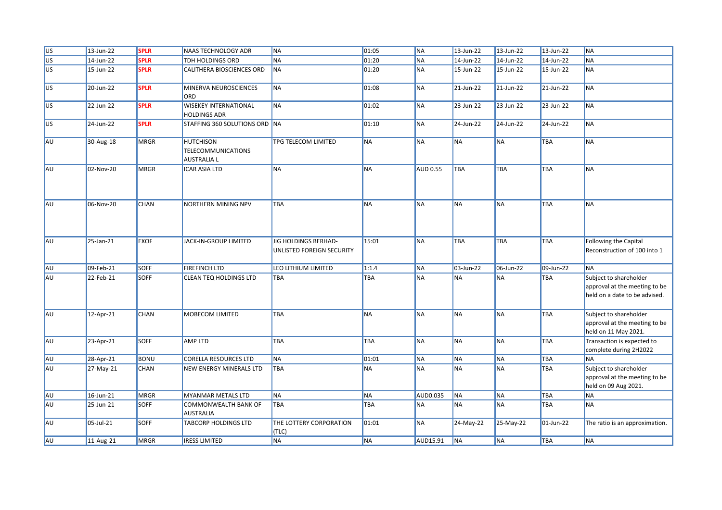| U <sub>S</sub>  | 13-Jun-22 | <b>SPLR</b> | <b>NAAS TECHNOLOGY ADR</b>                                   | <b>NA</b>                                         | 01:05      | <b>NA</b>       | 13-Jun-22  | 13-Jun-22  | 13-Jun-22    | <b>NA</b>                                                                                |
|-----------------|-----------|-------------|--------------------------------------------------------------|---------------------------------------------------|------------|-----------------|------------|------------|--------------|------------------------------------------------------------------------------------------|
| US <sup></sup>  | 14-Jun-22 | <b>SPLR</b> | TDH HOLDINGS ORD                                             | <b>NA</b>                                         | 01:20      | <b>NA</b>       | 14-Jun-22  | 14-Jun-22  | 14-Jun-22    | <b>NA</b>                                                                                |
| US <sup></sup>  | 15-Jun-22 | <b>SPLR</b> | CALITHERA BIOSCIENCES ORD                                    | <b>NA</b>                                         | 01:20      | <b>NA</b>       | 15-Jun-22  | 15-Jun-22  | 15-Jun-22    | <b>NA</b>                                                                                |
| US <sub>1</sub> | 20-Jun-22 | <b>SPLR</b> | MINERVA NEUROSCIENCES<br>ORD                                 | <b>NA</b>                                         | 01:08      | <b>NA</b>       | 21-Jun-22  | 21-Jun-22  | 21-Jun-22    | <b>NA</b>                                                                                |
| <b>US</b>       | 22-Jun-22 | <b>SPLR</b> | <b>WISEKEY INTERNATIONAL</b><br><b>HOLDINGS ADR</b>          | <b>NA</b>                                         | 01:02      | <b>NA</b>       | 23-Jun-22  | 23-Jun-22  | 23-Jun-22    | <b>NA</b>                                                                                |
| lus.            | 24-Jun-22 | <b>SPLR</b> | STAFFING 360 SOLUTIONS ORD NA                                |                                                   | 01:10      | <b>NA</b>       | 24-Jun-22  | 24-Jun-22  | $24$ -Jun-22 | <b>NA</b>                                                                                |
| AU              | 30-Aug-18 | MRGR        | <b>HUTCHISON</b><br><b>TELECOMMUNICATIONS</b><br>AUSTRALIA L | TPG TELECOM LIMITED                               | <b>NA</b>  | <b>NA</b>       | <b>NA</b>  | <b>NA</b>  | TBA          | <b>NA</b>                                                                                |
| AU              | 02-Nov-20 | <b>MRGR</b> | <b>ICAR ASIA LTD</b>                                         | <b>NA</b>                                         | <b>NA</b>  | <b>AUD 0.55</b> | <b>TBA</b> | <b>TBA</b> | <b>TBA</b>   | <b>NA</b>                                                                                |
| AU              | 06-Nov-20 | <b>CHAN</b> | <b>NORTHERN MINING NPV</b>                                   | TBA                                               | <b>NA</b>  | <b>NA</b>       | <b>NA</b>  | <b>NA</b>  | TBA          | <b>NA</b>                                                                                |
| AU              | 25-Jan-21 | <b>EXOF</b> | JACK-IN-GROUP LIMITED                                        | JIG HOLDINGS BERHAD-<br>UNLISTED FOREIGN SECURITY | 15:01      | <b>NA</b>       | TBA        | TBA        | <b>TBA</b>   | Following the Capital<br>Reconstruction of 100 into 1                                    |
| AU              | 09-Feb-21 | <b>SOFF</b> | <b>FIREFINCH LTD</b>                                         | LEO LITHIUM LIMITED                               | 1:1.4      | <b>NA</b>       | 03-Jun-22  | 06-Jun-22  | 09-Jun-22    | <b>NA</b>                                                                                |
| AU              | 22-Feb-21 | <b>SOFF</b> | CLEAN TEQ HOLDINGS LTD                                       | TBA                                               | <b>TBA</b> | <b>NA</b>       | <b>NA</b>  | ΝA         | <b>TBA</b>   | Subject to shareholder<br>approval at the meeting to be<br>held on a date to be advised. |
| AU              | 12-Apr-21 | <b>CHAN</b> | MOBECOM LIMITED                                              | TBA                                               | <b>NA</b>  | <b>NA</b>       | <b>NA</b>  | <b>NA</b>  | <b>TBA</b>   | Subject to shareholder<br>approval at the meeting to be<br>held on 11 May 2021.          |
| AU              | 23-Apr-21 | <b>SOFF</b> | AMP LTD                                                      | TBA                                               | TBA        | <b>NA</b>       | <b>NA</b>  | <b>NA</b>  | <b>TBA</b>   | Transaction is expected to<br>complete during 2H2022                                     |
| AU              | 28-Apr-21 | BONU        | <b>CORELLA RESOURCES LTD</b>                                 | <b>NA</b>                                         | 01:01      | <b>NA</b>       | <b>NA</b>  | <b>NA</b>  | <b>TBA</b>   | <b>NA</b>                                                                                |
| AU              | 27-May-21 | <b>CHAN</b> | NEW ENERGY MINERALS LTD                                      | <b>TBA</b>                                        | <b>NA</b>  | <b>NA</b>       | <b>NA</b>  | <b>NA</b>  | <b>TBA</b>   | Subject to shareholder<br>approval at the meeting to be<br>held on 09 Aug 2021.          |
| AU              | 16-Jun-21 | <b>MRGR</b> | MYANMAR METALS LTD                                           | <b>NA</b>                                         | <b>NA</b>  | <b>AUD0.035</b> | <b>NA</b>  | <b>NA</b>  | TBA          | <b>NA</b>                                                                                |
| AU              | 25-Jun-21 | <b>SOFF</b> | COMMONWEALTH BANK OF<br><b>AUSTRALIA</b>                     | <b>TBA</b>                                        | TBA        | <b>NA</b>       | <b>NA</b>  | <b>NA</b>  | <b>TBA</b>   | <b>NA</b>                                                                                |
| AU              | 05-Jul-21 | <b>SOFF</b> | TABCORP HOLDINGS LTD                                         | THE LOTTERY CORPORATION<br>(TLC)                  | 01:01      | <b>NA</b>       | 24-May-22  | 25-May-22  | 01-Jun-22    | The ratio is an approximation.                                                           |
| AU              | 11-Aug-21 | <b>MRGR</b> | <b>IRESS LIMITED</b>                                         | <b>NA</b>                                         | <b>NA</b>  | AUD15.91        | <b>NA</b>  | <b>NA</b>  | <b>TBA</b>   | $N_A$                                                                                    |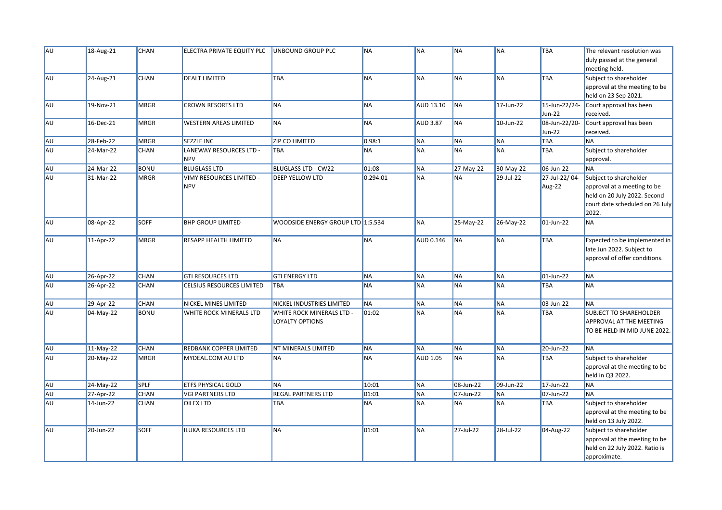| AU | 18-Aug-21 | <b>CHAN</b> | ELECTRA PRIVATE EQUITY PLC             | UNBOUND GROUP PLC                            | <b>NA</b> | <b>NA</b>        | <b>NA</b> | <b>NA</b> | <b>TBA</b>                     | The relevant resolution was<br>duly passed at the general<br>meeting held.                                                        |
|----|-----------|-------------|----------------------------------------|----------------------------------------------|-----------|------------------|-----------|-----------|--------------------------------|-----------------------------------------------------------------------------------------------------------------------------------|
| AU | 24-Aug-21 | <b>CHAN</b> | <b>DEALT LIMITED</b>                   | <b>TBA</b>                                   | <b>NA</b> | <b>NA</b>        | <b>NA</b> | <b>NA</b> | TBA                            | Subject to shareholder<br>approval at the meeting to be<br>held on 23 Sep 2021.                                                   |
| AU | 19-Nov-21 | <b>MRGR</b> | <b>CROWN RESORTS LTD</b>               | <b>NA</b>                                    | <b>NA</b> | <b>AUD 13.10</b> | <b>NA</b> | 17-Jun-22 | 15-Jun-22/24-<br><b>Jun-22</b> | Court approval has been<br>received.                                                                                              |
| AU | 16-Dec-21 | <b>MRGR</b> | <b>WESTERN AREAS LIMITED</b>           | <b>NA</b>                                    | <b>NA</b> | <b>AUD 3.87</b>  | <b>NA</b> | 10-Jun-22 | 08-Jun-22/20-<br>Jun-22        | Court approval has been<br>received.                                                                                              |
| AU | 28-Feb-22 | <b>MRGR</b> | SEZZLE INC                             | <b>ZIP CO LIMITED</b>                        | 0.98:1    | <b>NA</b>        | <b>NA</b> | <b>NA</b> | TBA                            | <b>NA</b>                                                                                                                         |
| AU | 24-Mar-22 | <b>CHAN</b> | LANEWAY RESOURCES LTD -<br><b>NPV</b>  | <b>TBA</b>                                   | <b>NA</b> | <b>NA</b>        | <b>NA</b> | <b>NA</b> | TBA                            | Subject to shareholder<br>approval.                                                                                               |
| AU | 24-Mar-22 | <b>BONU</b> | <b>BLUGLASS LTD</b>                    | <b>BLUGLASS LTD - CW22</b>                   | 01:08     | <b>NA</b>        | 27-May-22 | 30-May-22 | 06-Jun-22                      | <b>NA</b>                                                                                                                         |
| AU | 31-Mar-22 | <b>MRGR</b> | VIMY RESOURCES LIMITED -<br><b>NPV</b> | <b>DEEP YELLOW LTD</b>                       | 0.294:01  | <b>NA</b>        | <b>NA</b> | 29-Jul-22 | 27-Jul-22/04-<br>Aug-22        | Subject to shareholder<br>approval at a meeting to be<br>held on 20 July 2022. Second<br>court date scheduled on 26 July<br>2022. |
| AU | 08-Apr-22 | <b>SOFF</b> | <b>BHP GROUP LIMITED</b>               | WOODSIDE ENERGY GROUP LTD 1:5.534            |           | <b>NA</b>        | 25-May-22 | 26-May-22 | 01-Jun-22                      | <b>NA</b>                                                                                                                         |
| AU | 11-Apr-22 | <b>MRGR</b> | <b>RESAPP HEALTH LIMITED</b>           | <b>NA</b>                                    | <b>NA</b> | <b>AUD 0.146</b> | <b>NA</b> | <b>NA</b> | TBA                            | Expected to be implemented in<br>late Jun 2022. Subject to<br>approval of offer conditions.                                       |
| AU | 26-Apr-22 | CHAN        | <b>GTI RESOURCES LTD</b>               | <b>GTI ENERGY LTD</b>                        | <b>NA</b> | <b>NA</b>        | <b>NA</b> | <b>NA</b> | 01-Jun-22                      | <b>NA</b>                                                                                                                         |
| AU | 26-Apr-22 | CHAN        | CELSIUS RESOURCES LIMITED              | <b>TBA</b>                                   | <b>NA</b> | <b>NA</b>        | <b>NA</b> | <b>NA</b> | TBA                            | <b>NA</b>                                                                                                                         |
| AU | 29-Apr-22 | CHAN        | <b>NICKEL MINES LIMITED</b>            | NICKEL INDUSTRIES LIMITED                    | <b>NA</b> | <b>NA</b>        | <b>NA</b> | <b>NA</b> | 03-Jun-22                      | <b>NA</b>                                                                                                                         |
| AU | 04-May-22 | <b>BONU</b> | WHITE ROCK MINERALS LTD                | WHITE ROCK MINERALS LTD -<br>LOYALTY OPTIONS | 01:02     | <b>NA</b>        | <b>NA</b> | <b>NA</b> | TBA                            | SUBJECT TO SHAREHOLDER<br>APPROVAL AT THE MEETING<br>TO BE HELD IN MID JUNE 2022.                                                 |
| AU | 11-May-22 | CHAN        | REDBANK COPPER LIMITED                 | NT MINERALS LIMITED                          | <b>NA</b> | <b>NA</b>        | <b>NA</b> | <b>NA</b> | 20-Jun-22                      | <b>NA</b>                                                                                                                         |
| AU | 20-May-22 | <b>MRGR</b> | MYDEAL.COM AU LTD                      | <b>NA</b>                                    | <b>NA</b> | <b>AUD 1.05</b>  | <b>NA</b> | <b>NA</b> | TBA                            | Subject to shareholder<br>approval at the meeting to be<br>held in Q3 2022.                                                       |
| AU | 24-May-22 | <b>SPLF</b> | <b>ETFS PHYSICAL GOLD</b>              | <b>NA</b>                                    | 10:01     | <b>NA</b>        | 08-Jun-22 | 09-Jun-22 | 17-Jun-22                      | <b>NA</b>                                                                                                                         |
| AU | 27-Apr-22 | <b>CHAN</b> | <b>VGI PARTNERS LTD</b>                | <b>REGAL PARTNERS LTD</b>                    | 01:01     | <b>NA</b>        | 07-Jun-22 | <b>NA</b> | 07-Jun-22                      | <b>NA</b>                                                                                                                         |
| AU | 14-Jun-22 | CHAN        | <b>OILEX LTD</b>                       | TBA                                          | <b>NA</b> | <b>NA</b>        | <b>NA</b> | <b>NA</b> | TBA                            | Subject to shareholder<br>approval at the meeting to be<br>held on 13 July 2022.                                                  |
| AU | 20-Jun-22 | <b>SOFF</b> | ILUKA RESOURCES LTD                    | <b>NA</b>                                    | 01:01     | <b>NA</b>        | 27-Jul-22 | 28-Jul-22 | 04-Aug-22                      | Subject to shareholder<br>approval at the meeting to be<br>held on 22 July 2022. Ratio is<br>approximate.                         |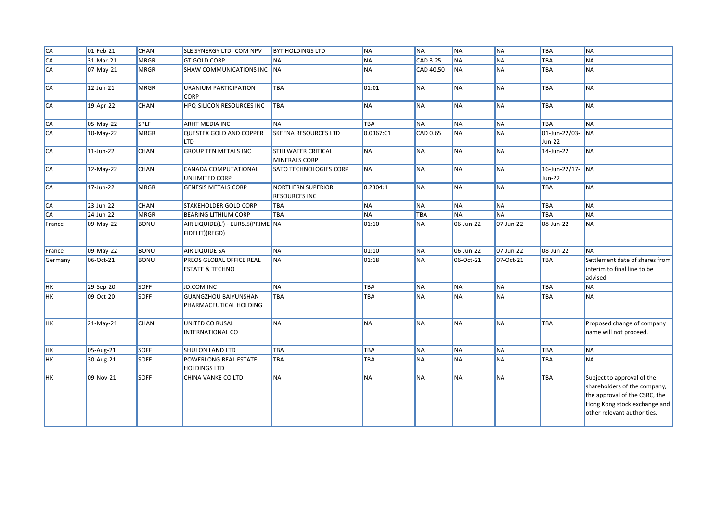| $\overline{CA}$ | $ 01-Feb-21$            | <b>CHAN</b> | SLE SYNERGY LTD- COM NPV                               | <b>BYT HOLDINGS LTD</b>                          | <b>NA</b>  | <b>NA</b> | <b>NA</b> | <b>NA</b> | TBA                        | <b>NA</b>                                                                                                                                                  |
|-----------------|-------------------------|-------------|--------------------------------------------------------|--------------------------------------------------|------------|-----------|-----------|-----------|----------------------------|------------------------------------------------------------------------------------------------------------------------------------------------------------|
| <b>CA</b>       | 31-Mar-21               | MRGR        | <b>GT GOLD CORP</b>                                    | <b>NA</b>                                        | <b>NA</b>  | CAD 3.25  | <b>NA</b> | <b>NA</b> | <b>TBA</b>                 | <b>NA</b>                                                                                                                                                  |
| CA              | $\overline{07}$ -May-21 | MRGR        | SHAW COMMUNICATIONS INC NA                             |                                                  | <b>NA</b>  | CAD 40.50 | <b>NA</b> | <b>NA</b> | <b>TBA</b>                 | <b>NA</b>                                                                                                                                                  |
| <b>CA</b>       | 12-Jun-21               | <b>MRGR</b> | URANIUM PARTICIPATION<br><b>CORP</b>                   | TBA                                              | 01:01      | <b>NA</b> | <b>NA</b> | <b>NA</b> | TBA                        | <b>NA</b>                                                                                                                                                  |
| CA              | 19-Apr-22               | <b>CHAN</b> | HPQ-SILICON RESOURCES INC                              | <b>TBA</b>                                       | <b>NA</b>  | <b>NA</b> | <b>NA</b> | <b>NA</b> | <b>TBA</b>                 | <b>NA</b>                                                                                                                                                  |
| CA              | 05-May-22               | <b>SPLF</b> | <b>ARHT MEDIA INC</b>                                  | <b>NA</b>                                        | <b>TBA</b> | <b>NA</b> | <b>NA</b> | <b>NA</b> | <b>TBA</b>                 | <b>NA</b>                                                                                                                                                  |
| <b>CA</b>       | 10-May-22               | <b>MRGR</b> | <b>QUESTEX GOLD AND COPPER</b><br>LTD                  | <b>SKEENA RESOURCES LTD</b>                      | 0.0367:01  | CAD 0.65  | <b>NA</b> | <b>NA</b> | 01-Jun-22/03-<br>Jun-22    | <b>NA</b>                                                                                                                                                  |
| CA              | 11-Jun-22               | <b>CHAN</b> | <b>GROUP TEN METALS INC</b>                            | <b>STILLWATER CRITICAL</b><br>MINERALS CORP      | <b>NA</b>  | <b>NA</b> | <b>NA</b> | <b>NA</b> | 14-Jun-22                  | <b>NA</b>                                                                                                                                                  |
| CA              | 12-May-22               | <b>CHAN</b> | CANADA COMPUTATIONAL<br>UNLIMITED CORP                 | SATO TECHNOLOGIES CORP                           | <b>NA</b>  | <b>NA</b> | <b>NA</b> | <b>NA</b> | 16-Jun-22/17- NA<br>Jun-22 |                                                                                                                                                            |
| <b>CA</b>       | 17-Jun-22               | <b>MRGR</b> | <b>GENESIS METALS CORP</b>                             | <b>NORTHERN SUPERIOR</b><br><b>RESOURCES INC</b> | 0.2304:1   | <b>NA</b> | <b>NA</b> | <b>NA</b> | <b>TBA</b>                 | <b>NA</b>                                                                                                                                                  |
| CA              | 23-Jun-22               | <b>CHAN</b> | STAKEHOLDER GOLD CORP                                  | <b>TBA</b>                                       | <b>NA</b>  | <b>NA</b> | <b>NA</b> | <b>NA</b> | <b>TBA</b>                 | <b>NA</b>                                                                                                                                                  |
| <b>CA</b>       | 24-Jun-22               | MRGR        | <b>BEARING LITHIUM CORP</b>                            | <b>TBA</b>                                       | <b>NA</b>  | TBA       | <b>NA</b> | <b>NA</b> | <b>TBA</b>                 | <b>NA</b>                                                                                                                                                  |
| France          | 09-May-22               | <b>BONU</b> | AIR LIQUIDE(L') - EUR5.5(PRIME NA<br>FIDELIT)(REGD)    |                                                  | 01:10      | <b>NA</b> | 06-Jun-22 | 07-Jun-22 | 08-Jun-22                  | <b>NA</b>                                                                                                                                                  |
| France          | 09-May-22               | <b>BONU</b> | AIR LIQUIDE SA                                         | <b>NA</b>                                        | 01:10      | <b>NA</b> | 06-Jun-22 | 07-Jun-22 | 08-Jun-22                  | <b>NA</b>                                                                                                                                                  |
| Germany         | 06-Oct-21               | <b>BONU</b> | PREOS GLOBAL OFFICE REAL<br><b>ESTATE &amp; TECHNO</b> | <b>NA</b>                                        | 01:18      | <b>NA</b> | 06-Oct-21 | 07-Oct-21 | TBA                        | Settlement date of shares from<br>interim to final line to be<br>advised                                                                                   |
| <b>HK</b>       | 29-Sep-20               | <b>SOFF</b> | <b>JD.COM INC</b>                                      | <b>NA</b>                                        | <b>TBA</b> | <b>NA</b> | <b>NA</b> | <b>NA</b> | <b>TBA</b>                 | <b>NA</b>                                                                                                                                                  |
| <b>HK</b>       | 09-Oct-20               | <b>SOFF</b> | <b>GUANGZHOU BAIYUNSHAN</b><br>PHARMACEUTICAL HOLDING  | <b>TBA</b>                                       | TBA        | <b>NA</b> | <b>NA</b> | <b>NA</b> | TBA                        | <b>NA</b>                                                                                                                                                  |
| <b>HK</b>       | 21-May-21               | <b>CHAN</b> | UNITED CO RUSAL<br><b>INTERNATIONAL CO</b>             | <b>NA</b>                                        | <b>NA</b>  | <b>NA</b> | <b>NA</b> | <b>NA</b> | <b>TBA</b>                 | Proposed change of company<br>name will not proceed.                                                                                                       |
| HK              | 05-Aug-21               | SOFF        | SHUI ON LAND LTD                                       | TBA                                              | TBA        | <b>NA</b> | <b>NA</b> | <b>NA</b> | TBA                        | <b>NA</b>                                                                                                                                                  |
| <b>HK</b>       | 30-Aug-21               | <b>SOFF</b> | POWERLONG REAL ESTATE<br><b>HOLDINGS LTD</b>           | TBA                                              | TBA        | <b>NA</b> | <b>NA</b> | <b>NA</b> | TBA                        | <b>NA</b>                                                                                                                                                  |
| <b>HK</b>       | 09-Nov-21               | <b>SOFF</b> | CHINA VANKE CO LTD                                     | <b>NA</b>                                        | <b>NA</b>  | <b>NA</b> | <b>NA</b> | <b>NA</b> | <b>TBA</b>                 | Subject to approval of the<br>shareholders of the company,<br>the approval of the CSRC, the<br>Hong Kong stock exchange and<br>other relevant authorities. |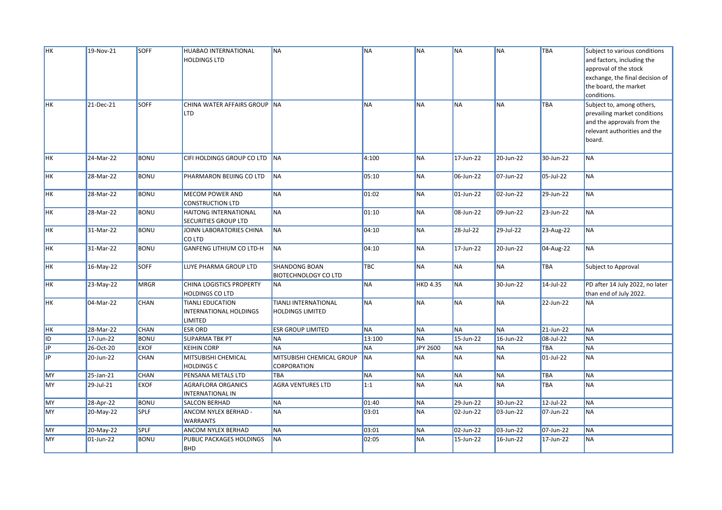| HK             | 19-Nov-21           | <b>SOFF</b> | HUABAO INTERNATIONAL         | <b>NA</b>                   | <b>NA</b> | <b>NA</b>       | <b>NA</b> | <b>NA</b>    | <b>TBA</b> | Subject to various conditions   |
|----------------|---------------------|-------------|------------------------------|-----------------------------|-----------|-----------------|-----------|--------------|------------|---------------------------------|
|                |                     |             | <b>HOLDINGS LTD</b>          |                             |           |                 |           |              |            | and factors, including the      |
|                |                     |             |                              |                             |           |                 |           |              |            | approval of the stock           |
|                |                     |             |                              |                             |           |                 |           |              |            | exchange, the final decision of |
|                |                     |             |                              |                             |           |                 |           |              |            | the board, the market           |
|                |                     |             |                              |                             |           |                 |           |              |            | conditions.                     |
| HK             | 21-Dec-21           | <b>SOFF</b> | CHINA WATER AFFAIRS GROUP NA |                             | <b>NA</b> | <b>NA</b>       | <b>NA</b> | <b>NA</b>    | <b>TBA</b> | Subject to, among others,       |
|                |                     |             | LTD                          |                             |           |                 |           |              |            | prevailing market conditions    |
|                |                     |             |                              |                             |           |                 |           |              |            | and the approvals from the      |
|                |                     |             |                              |                             |           |                 |           |              |            | relevant authorities and the    |
|                |                     |             |                              |                             |           |                 |           |              |            | board.                          |
|                |                     |             |                              |                             |           |                 |           |              |            |                                 |
| HK             | 24-Mar-22           | <b>BONU</b> | CIFI HOLDINGS GROUP CO LTD   | <b>NA</b>                   | 4:100     | <b>NA</b>       | 17-Jun-22 | 20-Jun-22    | 30-Jun-22  | <b>NA</b>                       |
|                |                     |             |                              |                             |           |                 |           |              |            |                                 |
| <b>HK</b>      | 28-Mar-22           | <b>BONU</b> | PHARMARON BEIJING CO LTD     | <b>NA</b>                   | 05:10     | <b>NA</b>       | 06-Jun-22 | 07-Jun-22    | 05-Jul-22  | <b>NA</b>                       |
|                |                     |             |                              |                             |           |                 |           |              |            |                                 |
| <b>HK</b>      | 28-Mar-22           | <b>BONU</b> | MECOM POWER AND              | <b>NA</b>                   | 01:02     | <b>NA</b>       | 01-Jun-22 | 02-Jun-22    | 29-Jun-22  | <b>NA</b>                       |
|                |                     |             | <b>CONSTRUCTION LTD</b>      |                             |           |                 |           |              |            |                                 |
| HK             | 28-Mar-22           | <b>BONU</b> | HAITONG INTERNATIONAL        | <b>NA</b>                   | 01:10     | <b>NA</b>       | 08-Jun-22 | 09-Jun-22    | 23-Jun-22  | <b>NA</b>                       |
|                |                     |             | SECURITIES GROUP LTD         |                             |           |                 |           |              |            |                                 |
| <b>HK</b>      | 31-Mar-22           | <b>BONU</b> | JOINN LABORATORIES CHINA     | <b>NA</b>                   | 04:10     | <b>NA</b>       | 28-Jul-22 | 29-Jul-22    | 23-Aug-22  | <b>NA</b>                       |
|                |                     |             | CO LTD                       |                             |           |                 |           |              |            |                                 |
| HK             | 31-Mar-22           | <b>BONU</b> | GANFENG LITHIUM CO LTD-H     | <b>NA</b>                   | 04:10     | <b>NA</b>       | 17-Jun-22 | 20-Jun-22    | 04-Aug-22  | <b>NA</b>                       |
|                |                     |             |                              |                             |           |                 |           |              |            |                                 |
| <b>HK</b>      | 16-May-22           | SOFF        | LUYE PHARMA GROUP LTD        | <b>SHANDONG BOAN</b>        | TBC       | <b>NA</b>       | <b>NA</b> | <b>NA</b>    | TBA        | Subject to Approval             |
|                |                     |             |                              | <b>BIOTECHNOLOGY CO LTD</b> |           |                 |           |              |            |                                 |
| <b>HK</b>      | 23-May-22           | <b>MRGR</b> | CHINA LOGISTICS PROPERTY     | <b>NA</b>                   | <b>NA</b> | <b>HKD 4.35</b> | <b>NA</b> | 30-Jun-22    | 14-Jul-22  | PD after 14 July 2022, no later |
|                |                     |             | <b>HOLDINGS CO LTD</b>       |                             |           |                 |           |              |            | than end of July 2022.          |
| <b>HK</b>      | 04-Mar-22           | CHAN        | <b>TIANLI EDUCATION</b>      | <b>TIANLI INTERNATIONAL</b> | <b>NA</b> | <b>NA</b>       | <b>NA</b> | <b>NA</b>    | 22-Jun-22  | <b>NA</b>                       |
|                |                     |             | INTERNATIONAL HOLDINGS       | <b>HOLDINGS LIMITED</b>     |           |                 |           |              |            |                                 |
|                |                     |             | LIMITED                      |                             |           |                 |           |              |            |                                 |
| $\parallel$ HK | 28-Mar-22           | CHAN        | <b>ESR ORD</b>               | <b>ESR GROUP LIMITED</b>    | <b>NA</b> | <b>NA</b>       | <b>NA</b> | <b>NA</b>    | 21-Jun-22  | <b>NA</b>                       |
| ID             | 17-Jun-22           | <b>BONU</b> | <b>SUPARMA TBK PT</b>        | <b>NA</b>                   | 13:100    | <b>NA</b>       | 15-Jun-22 | $16$ -Jun-22 | 08-Jul-22  | <b>NA</b>                       |
| JP.            | 26-Oct-20           | <b>EXOF</b> | <b>KEIHIN CORP</b>           | <b>NA</b>                   | <b>NA</b> | JPY 2600        | <b>NA</b> | <b>NA</b>    | <b>TBA</b> | <b>NA</b>                       |
| <b>JP</b>      | 20-Jun-22           | CHAN        | MITSUBISHI CHEMICAL          | MITSUBISHI CHEMICAL GROUP   | <b>NA</b> | <b>NA</b>       | <b>NA</b> | <b>NA</b>    | 01-Jul-22  | <b>NA</b>                       |
|                |                     |             | <b>HOLDINGS C</b>            | CORPORATION                 |           |                 |           |              |            |                                 |
| MY             | $\sqrt{25}$ -Jan-21 | <b>CHAN</b> | PENSANA METALS LTD           | <b>TBA</b>                  | <b>NA</b> | <b>NA</b>       | <b>NA</b> | <b>NA</b>    | <b>TBA</b> | <b>NA</b>                       |
| MY             | 29-Jul-21           | <b>EXOF</b> | AGRAFLORA ORGANICS           | <b>AGRA VENTURES LTD</b>    | 1:1       | <b>NA</b>       | <b>NA</b> | <b>NA</b>    | <b>TBA</b> | <b>NA</b>                       |
|                |                     |             | INTERNATIONAL IN             |                             |           |                 |           |              |            |                                 |
| MY             | 28-Apr-22           | <b>BONU</b> | <b>SALCON BERHAD</b>         | <b>NA</b>                   | 01:40     | <b>NA</b>       | 29-Jun-22 | 30-Jun-22    | 12-Jul-22  | <b>NA</b>                       |
| MY             | 20-May-22           | <b>SPLF</b> | ANCOM NYLEX BERHAD -         | <b>NA</b>                   | 03:01     | <b>NA</b>       | 02-Jun-22 | 03-Jun-22    | 07-Jun-22  | <b>NA</b>                       |
|                |                     |             | <b>WARRANTS</b>              |                             |           |                 |           |              |            |                                 |
| MY             | 20-May-22           | <b>SPLF</b> | ANCOM NYLEX BERHAD           | <b>NA</b>                   | 03:01     | <b>NA</b>       | 02-Jun-22 | 03-Jun-22    | 07-Jun-22  | <b>NA</b>                       |
| MY             | 01-Jun-22           | <b>BONU</b> | PUBLIC PACKAGES HOLDINGS     | <b>NA</b>                   | 02:05     | <b>NA</b>       | 15-Jun-22 | 16-Jun-22    | 17-Jun-22  | <b>NA</b>                       |
|                |                     |             | <b>BHD</b>                   |                             |           |                 |           |              |            |                                 |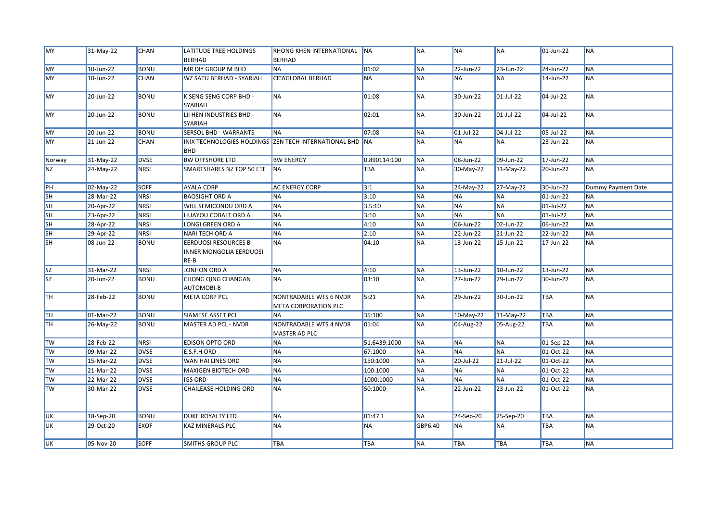| MY              | 31-May-22 | <b>CHAN</b> | LATITUDE TREE HOLDINGS                                           | RHONG KHEN INTERNATIONAL NA                              |              | <b>NA</b> | <b>NA</b>  | <b>NA</b>   | 01-Jun-22    | <b>NA</b>          |
|-----------------|-----------|-------------|------------------------------------------------------------------|----------------------------------------------------------|--------------|-----------|------------|-------------|--------------|--------------------|
|                 |           |             | <b>BERHAD</b>                                                    | <b>BERHAD</b>                                            |              |           |            |             |              |                    |
| MY              | 10-Jun-22 | <b>BONU</b> | MR DIY GROUP M BHD                                               | <b>NA</b>                                                | 01:02        | <b>NA</b> | 22-Jun-22  | 23-Jun-22   | 24-Jun-22    | <b>NA</b>          |
| MY              | 10-Jun-22 | CHAN        | WZ SATU BERHAD - SYARIAH                                         | <b>CITAGLOBAL BERHAD</b>                                 | <b>NA</b>    | <b>NA</b> | <b>NA</b>  | <b>NA</b>   | 14-Jun-22    | <b>NA</b>          |
| <b>MY</b>       | 20-Jun-22 | <b>BONU</b> | K SENG SENG CORP BHD -<br><b>SYARIAH</b>                         | <b>NA</b>                                                | 01:08        | <b>NA</b> | 30-Jun-22  | 01-Jul-22   | 04-Jul-22    | <b>NA</b>          |
| MY              | 20-Jun-22 | <b>BONU</b> | LII HEN INDUSTRIES BHD -<br><b>SYARIAH</b>                       | <b>NA</b>                                                | 02:01        | <b>NA</b> | 30-Jun-22  | 01-Jul-22   | 04-Jul-22    | <b>NA</b>          |
| MY              | 20-Jun-22 | <b>BONU</b> | <b>SERSOL BHD - WARRANTS</b>                                     | <b>NA</b>                                                | 07:08        | <b>NA</b> | 01-Jul-22  | 04-Jul-22   | 05-Jul-22    | <b>NA</b>          |
| <b>MY</b>       | 21-Jun-22 | CHAN        | <b>BHD</b>                                                       | INIX TECHNOLOGIES HOLDINGS ZEN TECH INTERNATIONAL BHD NA |              | <b>NA</b> | <b>NA</b>  | <b>NA</b>   | 23-Jun-22    | <b>NA</b>          |
| Norway          | 31-May-22 | <b>DVSE</b> | <b>BW OFFSHORE LTD</b>                                           | <b>BW ENERGY</b>                                         | 0.890114:100 | <b>NA</b> | 08-Jun-22  | 09-Jun-22   | 17-Jun-22    | <b>NA</b>          |
| <b>NZ</b>       | 24-May-22 | <b>NRSI</b> | SMARTSHARES NZ TOP 50 ETF                                        | <b>NA</b>                                                | TBA          | <b>NA</b> | 30-May-22  | $31-May-22$ | 20-Jun-22    | <b>NA</b>          |
| PH              | 02-May-22 | <b>SOFF</b> | <b>AYALA CORP</b>                                                | <b>AC ENERGY CORP</b>                                    | 3:1          | <b>NA</b> | 24-May-22  | 27-May-22   | 30-Jun-22    | Dummy Payment Date |
| <b>SH</b>       | 28-Mar-22 | <b>NRSI</b> | <b>BAOSIGHT ORD A</b>                                            | <b>NA</b>                                                | 3:10         | <b>NA</b> | <b>NA</b>  | <b>NA</b>   | 01-Jun-22    | <b>NA</b>          |
| <b>SH</b>       | 20-Apr-22 | <b>NRSI</b> | <b>WILL SEMICONDU ORD A</b>                                      | <b>NA</b>                                                | 3.5:10       | <b>NA</b> | <b>NA</b>  | <b>NA</b>   | 01-Jul-22    | <b>NA</b>          |
| <b>SH</b>       | 23-Apr-22 | <b>NRSI</b> | HUAYOU COBALT ORD A                                              | <b>NA</b>                                                | 3:10         | <b>NA</b> | <b>NA</b>  | <b>NA</b>   | $01$ -Jul-22 | <b>NA</b>          |
| <b>SH</b>       | 28-Apr-22 | <b>NRSI</b> | LONGI GREEN ORD A                                                | <b>NA</b>                                                | 4:10         | <b>NA</b> | 06-Jun-22  | 02-Jun-22   | 06-Jun-22    | <b>NA</b>          |
| <b>SH</b>       | 29-Apr-22 | <b>NRSI</b> | <b>NARI TECH ORD A</b>                                           | <b>NA</b>                                                | 2:10         | <b>NA</b> | 22-Jun-22  | 21-Jun-22   | 22-Jun-22    | <b>NA</b>          |
| <b>SH</b>       | 08-Jun-22 | <b>BONU</b> | <b>EERDUOSI RESOURCES B -</b><br>INNER MONGOLIA EERDUOSI<br>RE-B | <b>NA</b>                                                | 04:10        | <b>NA</b> | 13-Jun-22  | 15-Jun-22   | 17-Jun-22    | <b>NA</b>          |
| $\vert$ SZ      | 31-Mar-22 | <b>NRSI</b> | JONHON ORD A                                                     | <b>NA</b>                                                | 4:10         | <b>NA</b> | 13-Jun-22  | 10-Jun-22   | 13-Jun-22    | <b>NA</b>          |
| <b>SZ</b>       | 20-Jun-22 | <b>BONU</b> | CHONG QING CHANGAN<br>AUTOMOBI-B                                 | <b>NA</b>                                                | 03:10        | <b>NA</b> | 27-Jun-22  | 29-Jun-22   | 30-Jun-22    | <b>NA</b>          |
| <b>TH</b>       | 28-Feb-22 | <b>BONU</b> | <b>META CORP PCL</b>                                             | NONTRADABLE WTS 6 NVDR<br><b>META CORPORATION PLC</b>    | 5:21         | <b>NA</b> | 29-Jun-22  | 30-Jun-22   | TBA          | <b>NA</b>          |
| <b>TH</b>       | 01-Mar-22 | <b>BONU</b> | SIAMESE ASSET PCL                                                | <b>NA</b>                                                | 35:100       | <b>NA</b> | 10-May-22  | $11-May-22$ | <b>TBA</b>   | <b>NA</b>          |
| <b>TH</b>       | 26-May-22 | BONU        | <b>MASTER AD PCL - NVDR</b>                                      | NONTRADABLE WTS 4 NVDR<br><b>MASTER AD PLC</b>           | 01:04        | <b>NA</b> | 04-Aug-22  | 05-Aug-22   | <b>TBA</b>   | <b>NA</b>          |
| <b>TW</b>       | 28-Feb-22 | <b>NRSI</b> | <b>EDISON OPTO ORD</b>                                           | <b>NA</b>                                                | 51.6439:1000 | <b>NA</b> | <b>NA</b>  | <b>NA</b>   | 01-Sep-22    | <b>NA</b>          |
| $\mathsf{I}$ TW | 09-Mar-22 | <b>DVSE</b> | <b>E.S.F.H ORD</b>                                               | <b>NA</b>                                                | 67:1000      | <b>NA</b> | <b>NA</b>  | <b>NA</b>   | 01-Oct-22    | <b>NA</b>          |
| <b>TW</b>       | 15-Mar-22 | <b>DVSE</b> | WAN HAI LINES ORD                                                | <b>NA</b>                                                | 150:1000     | <b>NA</b> | 20-Jul-22  | 21-Jul-22   | 01-Oct-22    | <b>NA</b>          |
| <b>TW</b>       | 21-Mar-22 | <b>DVSE</b> | <b>MAXIGEN BIOTECH ORD</b>                                       | <b>NA</b>                                                | 100:1000     | <b>NA</b> | <b>NA</b>  | <b>NA</b>   | 01-Oct-22    | <b>NA</b>          |
| <b>TW</b>       | 22-Mar-22 | <b>DVSE</b> | <b>IGS ORD</b>                                                   | <b>NA</b>                                                | 1000:1000    | <b>NA</b> | <b>NA</b>  | <b>NA</b>   | 01-Oct-22    | <b>NA</b>          |
| <b>TW</b>       | 30-Mar-22 | <b>DVSE</b> | <b>CHAILEASE HOLDING ORD</b>                                     | <b>NA</b>                                                | 50:1000      | <b>NA</b> | 22-Jun-22  | 23-Jun-22   | 01-Oct-22    | <b>NA</b>          |
| <b>UK</b>       | 18-Sep-20 | <b>BONU</b> | <b>DUKE ROYALTY LTD</b>                                          | <b>NA</b>                                                | 01:47.1      | <b>NA</b> | 24-Sep-20  | 25-Sep-20   | <b>TBA</b>   | <b>NA</b>          |
| UK              | 29-Oct-20 | <b>EXOF</b> | KAZ MINERALS PLC                                                 | <b>NA</b>                                                | <b>NA</b>    | GBP6.40   | <b>NA</b>  | <b>NA</b>   | TBA          | <b>NA</b>          |
| UK              | 05-Nov-20 | <b>SOFF</b> | <b>SMITHS GROUP PLC</b>                                          | <b>TBA</b>                                               | TBA          | <b>NA</b> | <b>TBA</b> | <b>TBA</b>  | <b>TBA</b>   | <b>NA</b>          |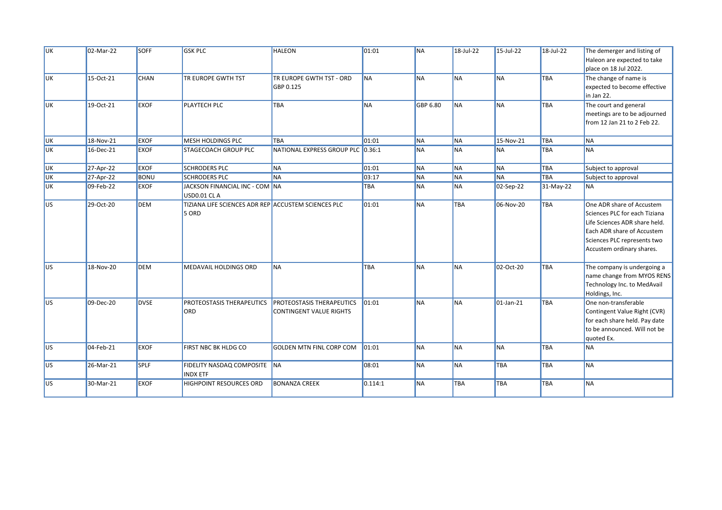| <b>IUK</b>      | 02-Mar-22    | <b>SOFF</b> | <b>GSK PLC</b>                                               | <b>HALEON</b>                                                      | 01:01     | <b>NA</b> | 18-Jul-22  | 15-Jul-22    | 18-Jul-22   | The demerger and listing of<br>Haleon are expected to take                                                                                                                            |
|-----------------|--------------|-------------|--------------------------------------------------------------|--------------------------------------------------------------------|-----------|-----------|------------|--------------|-------------|---------------------------------------------------------------------------------------------------------------------------------------------------------------------------------------|
| <b>IUK</b>      | 15-Oct-21    | <b>CHAN</b> | TR EUROPE GWTH TST                                           | TR EUROPE GWTH TST - ORD<br>GBP 0.125                              | <b>NA</b> | <b>NA</b> | <b>NA</b>  | <b>NA</b>    | <b>TBA</b>  | place on 18 Jul 2022.<br>The change of name is<br>expected to become effective<br>in Jan 22.                                                                                          |
| <b>UK</b>       | 19-Oct-21    | <b>EXOF</b> | <b>PLAYTECH PLC</b>                                          | <b>TBA</b>                                                         | <b>NA</b> | GBP 6.80  | <b>NA</b>  | <b>NA</b>    | <b>TBA</b>  | The court and general<br>meetings are to be adjourned<br>from 12 Jan 21 to 2 Feb 22.                                                                                                  |
| <b>UK</b>       | 18-Nov-21    | <b>EXOF</b> | <b>MESH HOLDINGS PLC</b>                                     | <b>TBA</b>                                                         | 01:01     | <b>NA</b> | <b>NA</b>  | 15-Nov-21    | <b>TBA</b>  | <b>NA</b>                                                                                                                                                                             |
| <b>UK</b>       | 16-Dec-21    | <b>EXOF</b> | STAGECOACH GROUP PLC                                         | NATIONAL EXPRESS GROUP PLC 0.36:1                                  |           | <b>NA</b> | <b>NA</b>  | <b>NA</b>    | <b>TBA</b>  | <b>NA</b>                                                                                                                                                                             |
| <b>UK</b>       | 27-Apr-22    | <b>EXOF</b> | <b>SCHRODERS PLC</b>                                         | <b>NA</b>                                                          | 01:01     | <b>NA</b> | <b>NA</b>  | <b>NA</b>    | TBA         | Subject to approval                                                                                                                                                                   |
| <b>UK</b>       | $27$ -Apr-22 | <b>BONU</b> | <b>SCHRODERS PLC</b>                                         | <b>NA</b>                                                          | 03:17     | <b>NA</b> | <b>NA</b>  | <b>NA</b>    | <b>TBA</b>  | Subject to approval                                                                                                                                                                   |
| <b>UK</b>       | 09-Feb-22    | <b>EXOF</b> | JACKSON FINANCIAL INC - COM NA<br>USD0.01 CL A               |                                                                    | TBA       | <b>NA</b> | <b>NA</b>  | 02-Sep-22    | $31-May-22$ | <b>NA</b>                                                                                                                                                                             |
| <b>US</b>       | 29-Oct-20    | <b>DEM</b>  | TIZIANA LIFE SCIENCES ADR REP ACCUSTEM SCIENCES PLC<br>5 ORD |                                                                    | 01:01     | <b>NA</b> | <b>TBA</b> | 06-Nov-20    | <b>TBA</b>  | One ADR share of Accustem<br>Sciences PLC for each Tiziana<br>Life Sciences ADR share held.<br>Each ADR share of Accustem<br>Sciences PLC represents two<br>Accustem ordinary shares. |
| lus             | 18-Nov-20    | <b>DEM</b>  | MEDAVAIL HOLDINGS ORD                                        | <b>NA</b>                                                          | TBA       | <b>NA</b> | <b>NA</b>  | 02-Oct-20    | <b>TBA</b>  | The company is undergoing a<br>name change from MYOS RENS<br>Technology Inc. to MedAvail<br>Holdings, Inc.                                                                            |
| lus             | 09-Dec-20    | <b>DVSE</b> | PROTEOSTASIS THERAPEUTICS<br>ORD                             | <b>PROTEOSTASIS THERAPEUTICS</b><br><b>CONTINGENT VALUE RIGHTS</b> | 01:01     | <b>NA</b> | <b>NA</b>  | $01$ -Jan-21 | <b>TBA</b>  | One non-transferable<br>Contingent Value Right (CVR)<br>for each share held. Pay date<br>to be announced. Will not be<br>quoted Ex.                                                   |
| US <sub>1</sub> | 04-Feb-21    | <b>EXOF</b> | FIRST NBC BK HLDG CO                                         | <b>GOLDEN MTN FINL CORP COM</b>                                    | 01:01     | <b>NA</b> | <b>NA</b>  | NA           | <b>TBA</b>  | <b>NA</b>                                                                                                                                                                             |
| <b>US</b>       | 26-Mar-21    | <b>SPLF</b> | FIDELITY NASDAQ COMPOSITE NA<br><b>INDX ETF</b>              |                                                                    | 08:01     | <b>NA</b> | <b>NA</b>  | TBA          | <b>TBA</b>  | <b>NA</b>                                                                                                                                                                             |
| <b>US</b>       | 30-Mar-21    | <b>EXOF</b> | HIGHPOINT RESOURCES ORD                                      | <b>BONANZA CREEK</b>                                               | 0.114:1   | <b>NA</b> | TBA        | TBA          | <b>TBA</b>  | <b>NA</b>                                                                                                                                                                             |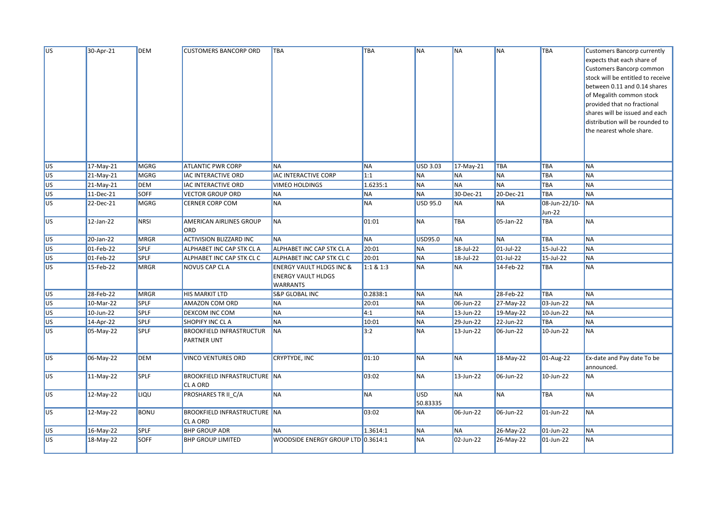| US <sup>-</sup> | 30-Apr-21    | <b>DEM</b>  | <b>CUSTOMERS BANCORP ORD</b>                          | <b>TBA</b>                                                                          | TBA              | <b>NA</b>       | <b>NA</b>    | <b>NA</b>               | TBA                            | <b>Customers Bancorp currently</b><br>expects that each share of<br>Customers Bancorp common<br>stock will be entitled to receive<br>between 0.11 and 0.14 shares<br>of Megalith common stock<br>provided that no fractional<br>shares will be issued and each<br>distribution will be rounded to<br>the nearest whole share. |
|-----------------|--------------|-------------|-------------------------------------------------------|-------------------------------------------------------------------------------------|------------------|-----------------|--------------|-------------------------|--------------------------------|-------------------------------------------------------------------------------------------------------------------------------------------------------------------------------------------------------------------------------------------------------------------------------------------------------------------------------|
|                 |              |             |                                                       |                                                                                     |                  |                 |              |                         |                                |                                                                                                                                                                                                                                                                                                                               |
| <b>US</b>       | 17-May-21    | <b>MGRG</b> | <b>ATLANTIC PWR CORP</b>                              | <b>NA</b>                                                                           | <b>NA</b>        | <b>USD 3.03</b> | 17-May-21    | TBA                     | TBA                            | <b>NA</b>                                                                                                                                                                                                                                                                                                                     |
| US <sup></sup>  | 21-May-21    | <b>MGRG</b> | <b>IAC INTERACTIVE ORD</b>                            | IAC INTERACTIVE CORP                                                                | $\overline{1:1}$ | <b>NA</b>       | <b>NA</b>    | <b>NA</b>               | TBA                            | <b>NA</b>                                                                                                                                                                                                                                                                                                                     |
| <b>US</b>       | 21-May-21    | DEM         | IAC INTERACTIVE ORD                                   | <b>VIMEO HOLDINGS</b>                                                               | 1.6235:1         | <b>NA</b>       | <b>NA</b>    | <b>NA</b>               | TBA                            | <b>NA</b>                                                                                                                                                                                                                                                                                                                     |
| ∥us             | 11-Dec-21    | SOFF        | <b>VECTOR GROUP ORD</b>                               | <b>NA</b>                                                                           | <b>NA</b>        | <b>NA</b>       | 30-Dec-21    | 20-Dec-21               | TBA                            | <b>NA</b>                                                                                                                                                                                                                                                                                                                     |
| US <sub></sub>  | 22-Dec-21    | <b>MGRG</b> | <b>CERNER CORP COM</b>                                | <b>NA</b>                                                                           | <b>NA</b>        | <b>USD 95.0</b> | <b>NA</b>    | <b>NA</b>               | 08-Jun-22/10-<br><b>Jun-22</b> | <b>NA</b>                                                                                                                                                                                                                                                                                                                     |
| <b>US</b>       | 12-Jan-22    | <b>NRSI</b> | <b>AMERICAN AIRLINES GROUP</b><br>ORD                 | <b>NA</b>                                                                           | 01:01            | <b>NA</b>       | TBA          | 05-Jan-22               | TBA                            | <b>NA</b>                                                                                                                                                                                                                                                                                                                     |
| <b>US</b>       | 20-Jan-22    | <b>MRGR</b> | <b>ACTIVISION BLIZZARD INC</b>                        | <b>NA</b>                                                                           | <b>NA</b>        | USD95.0         | <b>NA</b>    | <b>NA</b>               | TBA                            | <b>NA</b>                                                                                                                                                                                                                                                                                                                     |
| US <sup></sup>  | 01-Feb-22    | <b>SPLF</b> | ALPHABET INC CAP STK CL A                             | ALPHABET INC CAP STK CL A                                                           | 20:01            | <b>NA</b>       | 18-Jul-22    | $\overline{01}$ -Jul-22 | 15-Jul-22                      | <b>NA</b>                                                                                                                                                                                                                                                                                                                     |
| US <sup></sup>  | 01-Feb-22    | SPLF        | ALPHABET INC CAP STK CL C                             | ALPHABET INC CAP STK CL C                                                           | 20:01            | <b>NA</b>       | 18-Jul-22    | 01-Jul-22               | 15-Jul-22                      | <b>NA</b>                                                                                                                                                                                                                                                                                                                     |
| <b>US</b>       | 15-Feb-22    | <b>MRGR</b> | NOVUS CAP CL A                                        | <b>ENERGY VAULT HLDGS INC &amp;</b><br><b>ENERGY VAULT HLDGS</b><br><b>WARRANTS</b> | 1:1 & 1:3        | <b>NA</b>       | <b>NA</b>    | 14-Feb-22               | TBA                            | <b>NA</b>                                                                                                                                                                                                                                                                                                                     |
| <b>US</b>       | 28-Feb-22    | <b>MRGR</b> | <b>HIS MARKIT LTD</b>                                 | <b>S&amp;P GLOBAL INC</b>                                                           | 0.2838:1         | <b>NA</b>       | <b>NA</b>    | 28-Feb-22               | <b>TBA</b>                     | <b>NA</b>                                                                                                                                                                                                                                                                                                                     |
| US <sup></sup>  | 10-Mar-22    | <b>SPLF</b> | <b>AMAZON COM ORD</b>                                 | <b>NA</b>                                                                           | 20:01            | <b>NA</b>       | 06-Jun-22    | 27-May-22               | 03-Jun-22                      | <b>NA</b>                                                                                                                                                                                                                                                                                                                     |
| US <sup></sup>  | $10$ -Jun-22 | <b>SPLF</b> | <b>DEXCOM INC COM</b>                                 | <b>NA</b>                                                                           | $\overline{4:1}$ | <b>NA</b>       | $13$ -Jun-22 | 19-May-22               | 10-Jun-22                      | <b>NA</b>                                                                                                                                                                                                                                                                                                                     |
| <b>JUS</b>      | 14-Apr-22    | <b>SPLF</b> | SHOPIFY INC CL A                                      | <b>NA</b>                                                                           | 10:01            | <b>NA</b>       | 29-Jun-22    | 22-Jun-22               | TBA                            | <b>NA</b>                                                                                                                                                                                                                                                                                                                     |
| US <sub></sub>  | 05-May-22    | <b>SPLF</b> | <b>BROOKFIELD INFRASTRUCTUR</b><br><b>PARTNER UNT</b> | <b>NA</b>                                                                           | 3:2              | <b>NA</b>       | 13-Jun-22    | 06-Jun-22               | 10-Jun-22                      | <b>NA</b>                                                                                                                                                                                                                                                                                                                     |
| US              | 06-May-22    | <b>DEM</b>  | VINCO VENTURES ORD                                    | CRYPTYDE, INC                                                                       | 01:10            | <b>NA</b>       | <b>NA</b>    | 18-May-22               | 01-Aug-22                      | Ex-date and Pay date To be<br>announced.                                                                                                                                                                                                                                                                                      |
| <b>US</b>       | 11-May-22    | <b>SPLF</b> | <b>BROOKFIELD INFRASTRUCTURE NA</b><br>CL A ORD       |                                                                                     | 03:02            | <b>NA</b>       | 13-Jun-22    | 06-Jun-22               | 10-Jun-22                      | <b>NA</b>                                                                                                                                                                                                                                                                                                                     |
| <b>US</b>       | 12-May-22    | LIQU        | PROSHARES TR II C/A                                   | <b>NA</b>                                                                           | <b>NA</b>        | USD<br>50.83335 | <b>NA</b>    | <b>NA</b>               | <b>TBA</b>                     | <b>NA</b>                                                                                                                                                                                                                                                                                                                     |
| <b>US</b>       | 12-May-22    | <b>BONU</b> | <b>BROOKFIELD INFRASTRUCTURE NA</b><br>CL A ORD       |                                                                                     | 03:02            | <b>NA</b>       | 06-Jun-22    | 06-Jun-22               | 01-Jun-22                      | <b>NA</b>                                                                                                                                                                                                                                                                                                                     |
| <b>US</b>       | 16-May-22    | SPLF        | <b>BHP GROUP ADR</b>                                  | <b>NA</b>                                                                           | 1.3614:1         | <b>NA</b>       | <b>NA</b>    | 26-May-22               | $01$ -Jun-22                   | <b>NA</b>                                                                                                                                                                                                                                                                                                                     |
| lus             | 18-May-22    | <b>SOFF</b> | <b>BHP GROUP LIMITED</b>                              | WOODSIDE ENERGY GROUP LTD 0.3614:1                                                  |                  | <b>NA</b>       | 02-Jun-22    | 26-May-22               | 01-Jun-22                      | <b>NA</b>                                                                                                                                                                                                                                                                                                                     |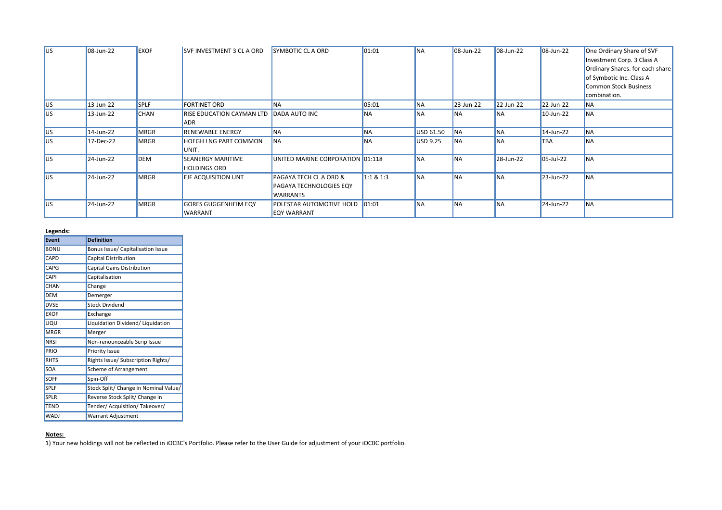| lus.       | 08-Jun-22    | <b>EXOF</b> | <b>SVF INVESTMENT 3 CL A ORD</b>        | <b>SYMBOTIC CLA ORD</b>           | 01:01         | <b>NA</b> | 08-Jun-22 | 08-Jun-22 | $ 08 - Jun - 22 $ | One Ordinary Share of SVF       |
|------------|--------------|-------------|-----------------------------------------|-----------------------------------|---------------|-----------|-----------|-----------|-------------------|---------------------------------|
|            |              |             |                                         |                                   |               |           |           |           |                   | Investment Corp. 3 Class A      |
|            |              |             |                                         |                                   |               |           |           |           |                   | Ordinary Shares. for each share |
|            |              |             |                                         |                                   |               |           |           |           |                   | of Symbotic Inc. Class A        |
|            |              |             |                                         |                                   |               |           |           |           |                   | Common Stock Business           |
|            |              |             |                                         |                                   |               |           |           |           |                   | combination.                    |
| <b>IUS</b> | $13$ -Jun-22 | <b>SPLF</b> | <b>FORTINET ORD</b>                     | <b>INA</b>                        | 05:01         | <b>NA</b> | 23-Jun-22 | 22-Jun-22 | 22-Jun-22         | <b>NA</b>                       |
| <b>IUS</b> | 13-Jun-22    | <b>CHAN</b> | RISE EDUCATION CAYMAN LTD DADA AUTO INC |                                   | <b>INA</b>    | <b>NA</b> | <b>NA</b> | <b>NA</b> | 10-Jun-22         | <b>INA</b>                      |
|            |              |             | <b>ADR</b>                              |                                   |               |           |           |           |                   |                                 |
| <b>IUS</b> | 14-Jun-22    | MRGR        | <b>RENEWABLE ENERGY</b>                 | <b>NA</b>                         | <b>NA</b>     | USD 61.50 | <b>NA</b> | <b>NA</b> | 14-Jun-22         | <b>NA</b>                       |
| <b>IUS</b> | 17-Dec-22    | MRGR        | <b>HOEGH LNG PART COMMON</b>            | <b>INA</b>                        | <b>INA</b>    | USD 9.25  | <b>NA</b> | <b>NA</b> | <b>TBA</b>        | <b>INA</b>                      |
|            |              |             | UNIT.                                   |                                   |               |           |           |           |                   |                                 |
| lus.       | 24-Jun-22    | <b>DEM</b>  | <b>SEANERGY MARITIME</b>                | UNITED MARINE CORPORATION 01:118  |               | <b>NA</b> | <b>NA</b> | 28-Jun-22 | 05-Jul-22         | <b>INA</b>                      |
|            |              |             | <b>HOLDINGS ORD</b>                     |                                   |               |           |           |           |                   |                                 |
| lus.       | 24-Jun-22    | <b>MRGR</b> | <b>EJF ACQUISITION UNT</b>              | <b>PAGAYA TECH CL A ORD &amp;</b> | 1:1 & 8 & 1:3 | <b>NA</b> | <b>NA</b> | <b>NA</b> | 23-Jun-22         | <b>INA</b>                      |
|            |              |             |                                         | <b>PAGAYA TECHNOLOGIES EQY</b>    |               |           |           |           |                   |                                 |
|            |              |             |                                         | <b>WARRANTS</b>                   |               |           |           |           |                   |                                 |
| lus.       | 24-Jun-22    | <b>MRGR</b> | <b>GORES GUGGENHEIM EQY</b>             | <b>POLESTAR AUTOMOTIVE HOLD</b>   | 01:01         | <b>NA</b> | <b>NA</b> | <b>NA</b> | 24-Jun-22         | <b>INA</b>                      |
|            |              |             | WARRANT                                 | <b>EQY WARRANT</b>                |               |           |           |           |                   |                                 |

## **Legends:**

| <b>Event</b> | <b>Definition</b>                     |
|--------------|---------------------------------------|
| BONU         | Bonus Issue/ Capitalisation Issue     |
| CAPD         | Capital Distribution                  |
| CAPG         | Capital Gains Distribution            |
| CAPI         | Capitalisation                        |
| CHAN         | Change                                |
| <b>DEM</b>   | Demerger                              |
| <b>DVSE</b>  | <b>Stock Dividend</b>                 |
| <b>EXOF</b>  | Exchange                              |
| LIQU         | Liquidation Dividend/ Liquidation     |
| <b>MRGR</b>  | Merger                                |
| <b>NRSI</b>  | Non-renounceable Scrip Issue          |
| PRIO         | Priority Issue                        |
| <b>RHTS</b>  | Rights Issue/ Subscription Rights/    |
| SOA          | <b>Scheme of Arrangement</b>          |
| <b>SOFF</b>  | Spin-Off                              |
| <b>SPLF</b>  | Stock Split/ Change in Nominal Value/ |
| <b>SPLR</b>  | Reverse Stock Split/ Change in        |
| TEND         | Tender/ Acquisition/ Takeover/        |
| <b>WADJ</b>  | <b>Warrant Adjustment</b>             |

## **Notes:**

1) Your new holdings will not be reflected in iOCBC's Portfolio. Please refer to the User Guide for adjustment of your iOCBC portfolio.